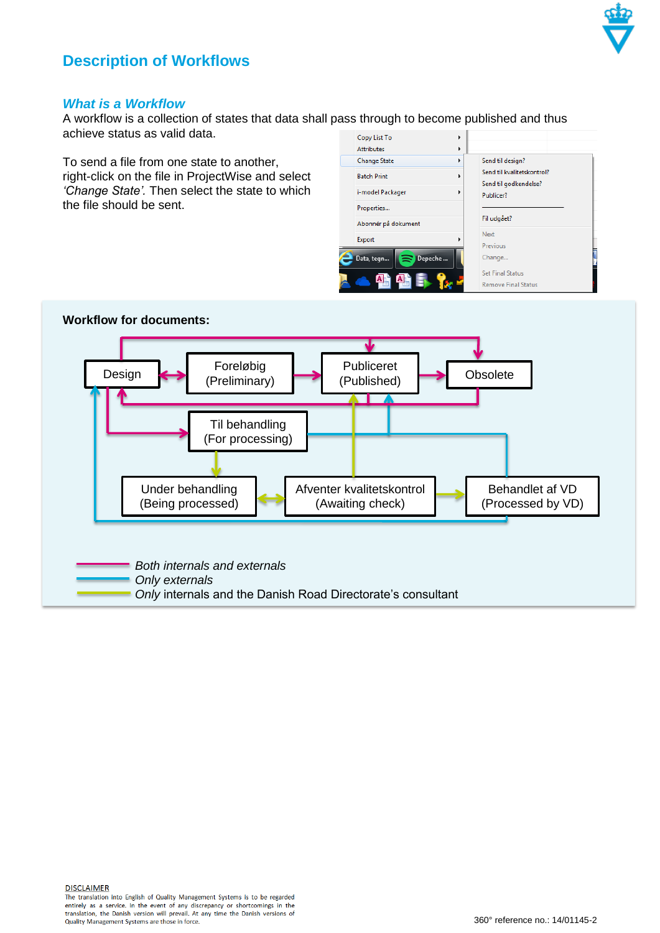

## **Description of Workflows**

## *What is a Workflow*

A workflow is a collection of states that data shall pass through to become published and thus achieve status as valid data.

To send a file from one state to another, right-click on the file in ProjectWise and select *'Change State'.* Then select the state to which the file should be sent.

| Copy List To<br><b>Attributes</b> | Þ<br>Þ                                                |
|-----------------------------------|-------------------------------------------------------|
| <b>Change State</b>               | Send til design?<br>ь<br>Send til kvalitetskontrol?   |
| <b>Batch Print</b>                | þ<br>Send til godkendelse?<br>Þ                       |
| i-model Packager<br>Properties    | Publicer?                                             |
| Abonnér på dokument               | Fil udgået?                                           |
| Export                            | Next<br>Previous                                      |
| Depeche<br>Data, tegn<br>∍        | Change                                                |
|                                   | <b>Set Final Status</b><br><b>Remove Final Status</b> |